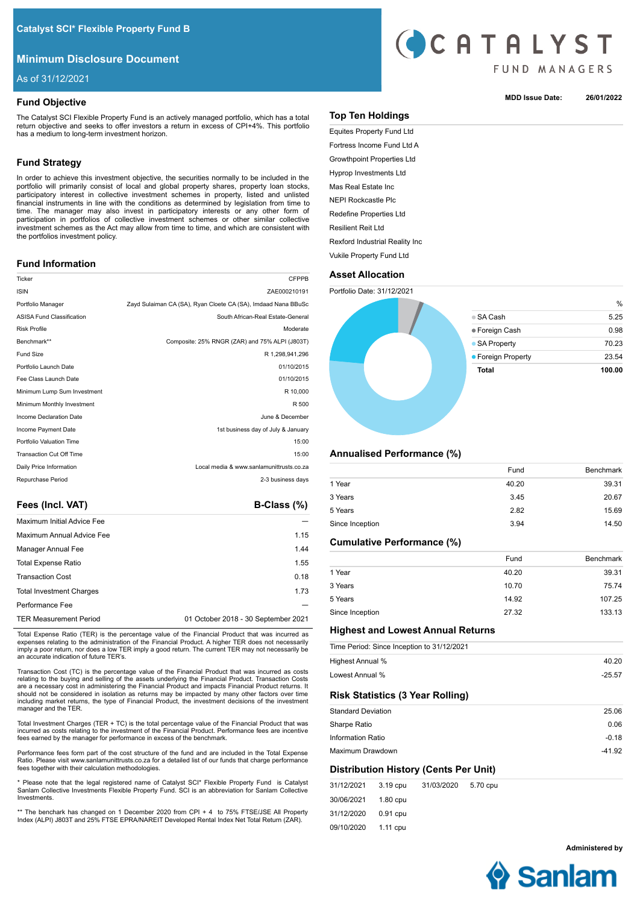# **Minimum Disclosure Document**

As of 31/12/2021

# **Fund Objective**

The Catalyst SCI Flexible Property Fund is an actively managed portfolio, which has a total return objective and seeks to offer investors a return in excess of CPI+4%. This portfolio has a medium to long-term investment horizon.

# **Fund Strategy**

In order to achieve this investment objective, the securities normally to be included in the portfolio will primarily consist of local and global property shares, property loan stocks, participatory interest in collective investment schemes in property, listed and unlisted financial instruments in line with the conditions as determined by legislation from time to time. The manager may also invest in participatory interests or any other form of participation in portfolios of collective investment schemes or other similar collective investment schemes as the Act may allow from time to time, and which are consistent with the portfolios investment policy.

# **Fund Information**

| Ticker                           | <b>CFPPB</b>                                                  |
|----------------------------------|---------------------------------------------------------------|
| <b>ISIN</b>                      | ZAE000210191                                                  |
| Portfolio Manager                | Zayd Sulaiman CA (SA), Ryan Cloete CA (SA), Imdaad Nana BBuSc |
| <b>ASISA Fund Classification</b> | South African-Real Estate-General                             |
| <b>Risk Profile</b>              | Moderate                                                      |
| Benchmark**                      | Composite: 25% RNGR (ZAR) and 75% ALPI (J803T)                |
| <b>Fund Size</b>                 | R 1.298.941.296                                               |
| Portfolio Launch Date            | 01/10/2015                                                    |
| Fee Class Launch Date            | 01/10/2015                                                    |
| Minimum Lump Sum Investment      | R 10,000                                                      |
| Minimum Monthly Investment       | R 500                                                         |
| Income Declaration Date          | June & December                                               |
| Income Payment Date              | 1st business day of July & January                            |
| Portfolio Valuation Time         | 15:00                                                         |
| <b>Transaction Cut Off Time</b>  | 15:00                                                         |
| Daily Price Information          | Local media & www.sanlamunittrusts.co.za                      |
| Repurchase Period                | 2-3 business days                                             |
|                                  |                                                               |

Fees (Incl. VAT) **B-Class (%)** 

| <b>Maximum Initial Advice Fee</b> |                                     |
|-----------------------------------|-------------------------------------|
| Maximum Annual Advice Fee         | 1.15                                |
| Manager Annual Fee                | 1.44                                |
| <b>Total Expense Ratio</b>        | 1.55                                |
| <b>Transaction Cost</b>           | 0.18                                |
| <b>Total Investment Charges</b>   | 1.73                                |
| Performance Fee                   |                                     |
| <b>TER Measurement Period</b>     | 01 October 2018 - 30 September 2021 |

Total Expense Ratio (TER) is the percentage value of the Financial Product that was incurred as expenses relating to the administration of the Financial Product. A higher TER does not necessarily imply a poor return, nor does a low TER imply a good return. The current TER may not necessarily be an accurate indication of future TER's.

Transaction Cost (TC) is the percentage value of the Financial Product that was incurred as costs relating to the buying and selling of the assets underlying the Financial Product. Transaction Costs are a necessary cost in administering the Financial Product and impacts Financial Product returns. It should not be considered in isolation as returns may be impacted by many other factors over time including market returns, the type of Financial Product, the investment decisions of the investment manager and the TER.

Total Investment Charges (TER + TC) is the total percentage value of the Financial Product that was incurred as costs relating to the investment of the Financial Product. Performance fees are incentive fees earned by the manager for performance in excess of the benchmark.

Performance fees form part of the cost structure of the fund and are included in the Total Expense Ratio. Please visit www.sanlamunittrusts.co.za for a detailed list of our funds that charge performance fees together with their calculation methodologies.

\* Please note that the legal registered name of Catalyst SCI\* Flexible Property Fund is Catalyst Sanlam Collective Investments Flexible Property Fund. SCI is an abbreviation for Sanlam Collective Investments.

\*\* The benchark has changed on 1 December 2020 from CPI + 4 to 75% FTSE/JSE All Property Index (ALPI) J803T and 25% FTSE EPRA/NAREIT Developed Rental Index Net Total Return (ZAR).



### **MDD Issue Date: 26/01/2022**

# **Top Ten Holdings**

Equites Property Fund Ltd Fortress Income Fund Ltd A Growthpoint Properties Ltd Hyprop Investments Ltd Mas Real Estate Inc NEPI Rockcastle Plc Redefine Properties Ltd Resilient Reit Ltd Rexford Industrial Reality Inc Vukile Property Fund Ltd

# **Asset Allocation**



# **Annualised Performance (%)**

|                 | Fund  | <b>Benchmark</b> |
|-----------------|-------|------------------|
| 1 Year          | 40.20 | 39.31            |
| 3 Years         | 3.45  | 20.67            |
| 5 Years         | 2.82  | 15.69            |
| Since Inception | 3.94  | 14.50            |

# **Cumulative Performance (%)**

|                 | Fund  | Benchmark |
|-----------------|-------|-----------|
| 1 Year          | 40.20 | 39.31     |
| 3 Years         | 10.70 | 75.74     |
| 5 Years         | 14.92 | 107.25    |
| Since Inception | 27.32 | 133.13    |

# **Highest and Lowest Annual Returns**

|                           |          | Time Period: Since Inception to 31/12/2021 |          |          |
|---------------------------|----------|--------------------------------------------|----------|----------|
| Highest Annual %          |          |                                            |          | 40.20    |
| Lowest Annual %           |          |                                            |          | $-25.57$ |
|                           |          | <b>Risk Statistics (3 Year Rolling)</b>    |          |          |
| <b>Standard Deviation</b> |          |                                            |          | 25.06    |
| Sharpe Ratio              |          |                                            |          | 0.06     |
| Information Ratio         |          |                                            |          | $-0.18$  |
| Maximum Drawdown          |          |                                            |          | $-41.92$ |
|                           |          | Distribution History (Cents Per Unit)      |          |          |
| 31/12/2021                | 3.19 cpu | 31/03/2020                                 | 5.70 cpu |          |

30/06/2021 31/12/2020 09/10/2020 1.80 cpu 0.91 cpu 1.11 cpu

**Administered by**

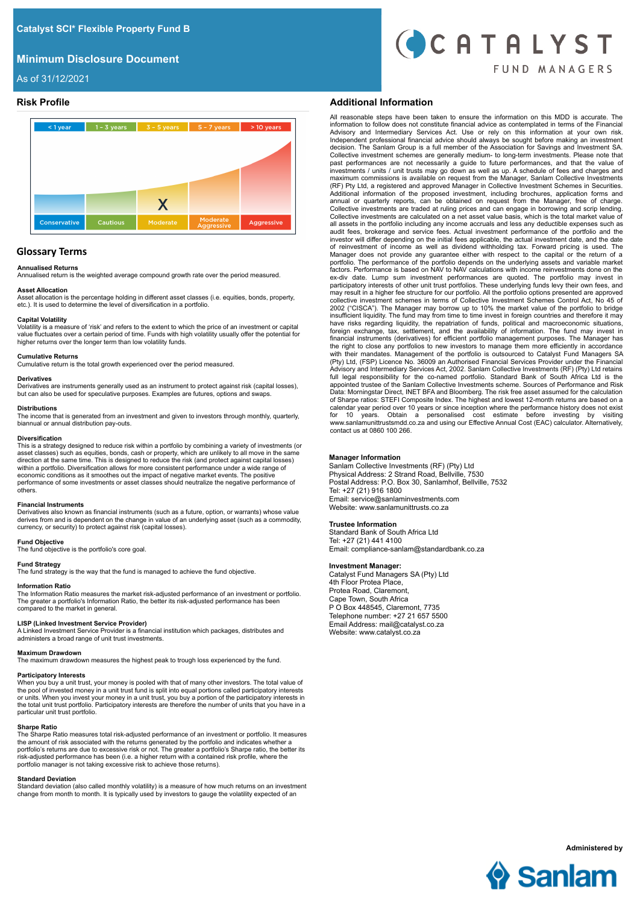# **Minimum Disclosure Document**



As of 31/12/2021



# **Glossary Terms**

### **Annualised Returns**

Annualised return is the weighted average compound growth rate over the period measured.

### **Asset Allocation**

Asset allocation is the percentage holding in different asset classes (i.e. equities, bonds, property, etc.). It is used to determine the level of diversification in a portfolio.

### **Capital Volatility**

Volatility is a measure of 'risk' and refers to the extent to which the price of an investment or capital value fluctuates over a certain period of time. Funds with high volatility usually offer the potential for higher returns over the longer term than low volatility funds.

#### **Cumulative Returns**

Cumulative return is the total growth experienced over the period measured.

**Derivatives**<br>Derivatives are instruments generally used as an instrument to protect against risk (capital losses), but can also be used for speculative purposes. Examples are futures, options and swaps.

# **Distributions**

The income that is generated from an investment and given to investors through monthly, quarterly, biannual or annual distribution pay-outs.

#### **Diversification**

This is a strategy designed to reduce risk within a portfolio by combining a variety of investments (or asset classes) such as equities, bonds, cash or property, which are unlikely to all move in the same<br>direction at the same time. This is designed to reduce the risk (and protect against capital losses)<br>within a portfolio. economic conditions as it smoothes out the impact of negative market events. The positive performance of some investments or asset classes should neutralize the negative performance of others.

#### **Financial Instruments**

Derivatives also known as financial instruments (such as a future, option, or warrants) whose value derives from and is dependent on the change in value of an underlying asset (such as a commodity, currency, or security) to protect against risk (capital losses).

### **Fund Objective**

The fund objective is the portfolio's core goal.

#### **Fund Strategy**

The fund strategy is the way that the fund is managed to achieve the fund objective.

#### **Information Ratio**

The Information Ratio measures the market risk-adjusted performance of an investment or portfolio. The greater a portfolio's Information Ratio, the better its risk-adjusted performance has been compared to the market in general.

#### **LISP (Linked Investment Service Provider)**

A Linked Investment Service Provider is a financial institution which packages, distributes and administers a broad range of unit trust investments.

### **Maximum Drawdown**

The maximum drawdown measures the highest peak to trough loss experienced by the fund.

### **Participatory Interests**

When you buy a unit trust, your money is pooled with that of many other investors. The total value of the pool of invested money in a unit trust fund is split into equal portions called participatory interests or units. When you invest your money in a unit trust, you buy a portion of the participatory interests in the total unit trust portfolio. Participatory interests are therefore the number of units that you have in a particular unit trust portfolio.

#### **Sharpe Ratio**

The Sharpe Ratio measures total risk-adjusted performance of an investment or portfolio. It measures the amount of risk associated with the returns generated by the portfolio and indicates whether a<br>portfolio's returns are due to excessive risk or not. The greater a portfolio's Sharpe ratio, the better its<br>risk-adjusted p portfolio manager is not taking excessive risk to achieve those returns).

#### **Standard Deviation**

Standard deviation (also called monthly volatility) is a measure of how much returns on an investment change from month to month. It is typically used by investors to gauge the volatility expected of an

## **Risk Profile Additional Information**

All reasonable steps have been taken to ensure the information on this MDD is accurate. The information to follow does not constitute financial advice as contemplated in terms of the Financial<br>Advisory and Intermediary Services Act. Use or rely on this information at your own risk.<br>Independent professional financ Collective investment schemes are generally medium- to long-term investments. Please note that past performances are not necessarily a guide to future performances, and that the value of investments / units / unit trusts may go down as well as up. A schedule of fees and charges and maximum commissions is available on request from the Manager, Sanlam Collective Investments (RF) Pty Ltd, a registered and approved Manager in Collective Investment Schemes in Securities. Additional information of the proposed investment, including brochures, application forms and annual or quarterly reports, can be obtained on request from the Manager, free of charge. Collective investments are traded at ruling prices and can engage in borrowing and scrip lending. Collective investments are calculated on a net asset value basis, which is the total market value of all assets in the portfolio including any income accruals and less any deductible expenses such as audit fees, brokerage and service fees. Actual investment performance of the portfolio and the investor will differ depending on the initial fees applicable, the actual investment date, and the date of reinvestment of income as well as dividend withholding tax. Forward pricing is used. The Manager does not provide any guarantee either with respect to the capital or the return of a<br>portfolio. The performance of the portfolio depends on the underlying assets and variable market<br>factors. Performance is based on participatory interests of other unit trust portfolios. These underlying funds levy their own fees, and<br>may result in a higher fee structure for our portfolio. All the portfolio options presented are approved<br>collective in insufficient liquidity. The fund may from time to time invest in foreign countries and therefore it may have risks regarding liquidity, the repatriation of funds, political and macroeconomic situations, foreign exchange, tax, settlement, and the availability of information. The fund may invest in financial instruments (derivatives) for efficient portfolio management purposes. The Manager has the right to close any portfolios to new investors to manage them more efficiently in accordance with their mandates. Management of the portfolio is outsourced to Catalyst Fund Managers SA (Pty) Ltd, (FSP) Licence No. 36009 an Authorised Financial Services Provider under the Financial Advisory and Intermediary Services Act, 2002. Sanlam Collective Investments (RF) (Pty) Ltd retains full legal responsibility for the co-named portfolio. Standard Bank of South Africa Ltd is the appointed trustee of the Sanlam Collective Investments scheme. Sources of Performance and Risk Data: Morningstar Direct, INET BFA and Bloomberg. The risk free asset assumed for the calculation of Sharpe ratios: STEFI Composite Index. The highest and lowest 12-month returns are based on a<br>calendar year period over 10 years or since inception where the performance history does not exist<br>for 10 years. Obtain a contact us at 0860 100 266.

### **Manager Information**

Sanlam Collective Investments (RF) (Pty) Ltd Physical Address: 2 Strand Road, Bellville, 7530 Postal Address: P.O. Box 30, Sanlamhof, Bellville, 7532 Tel: +27 (21) 916 1800 Email: service@sanlaminvestments.com Website: www.sanlamunittrusts.co.za

### **Trustee Information**

Standard Bank of South Africa Ltd Tel: +27 (21) 441 4100 Email: compliance-sanlam@standardbank.co.za

# **Investment Manager:**

Catalyst Fund Managers SA (Pty) Ltd 4th Floor Protea Place, Protea Road, Claremont, Cape Town, South Africa P O Box 448545, Claremont, 7735 Telephone number: +27 21 657 5500 Email Address: mail@catalyst.co.za Website: www.catalyst.co.za



**Administered by**